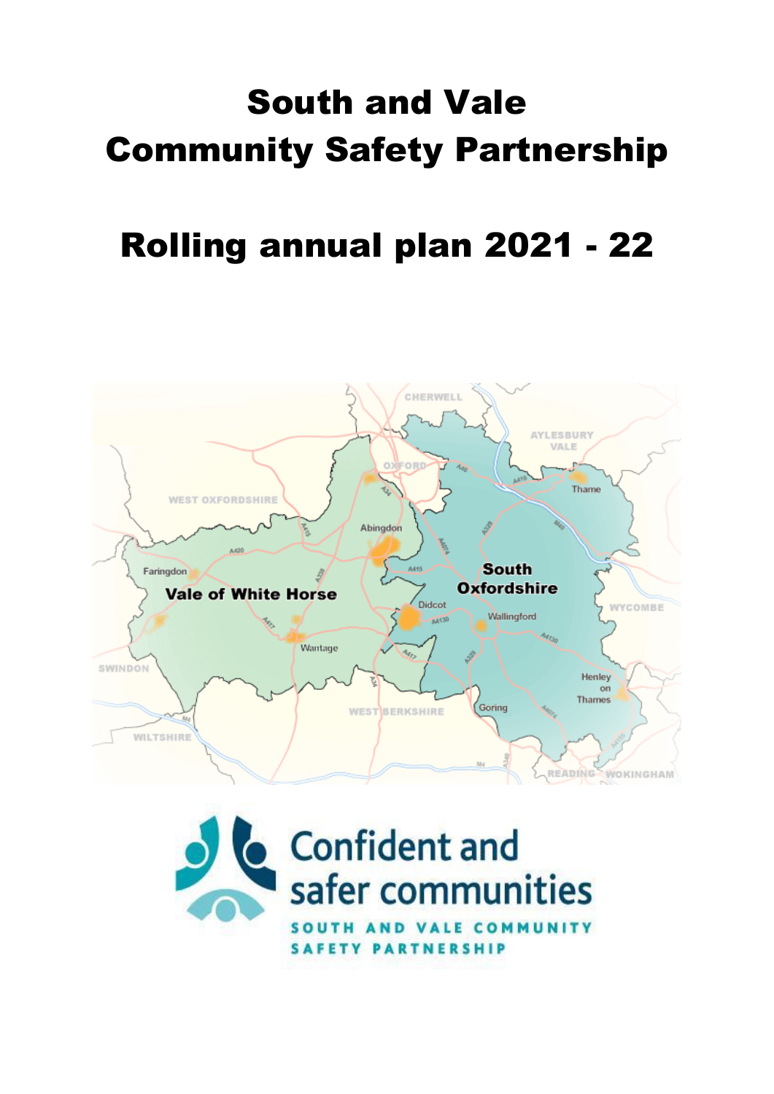# South and Vale Community Safety Partnership

## Rolling annual plan 2021 - 22



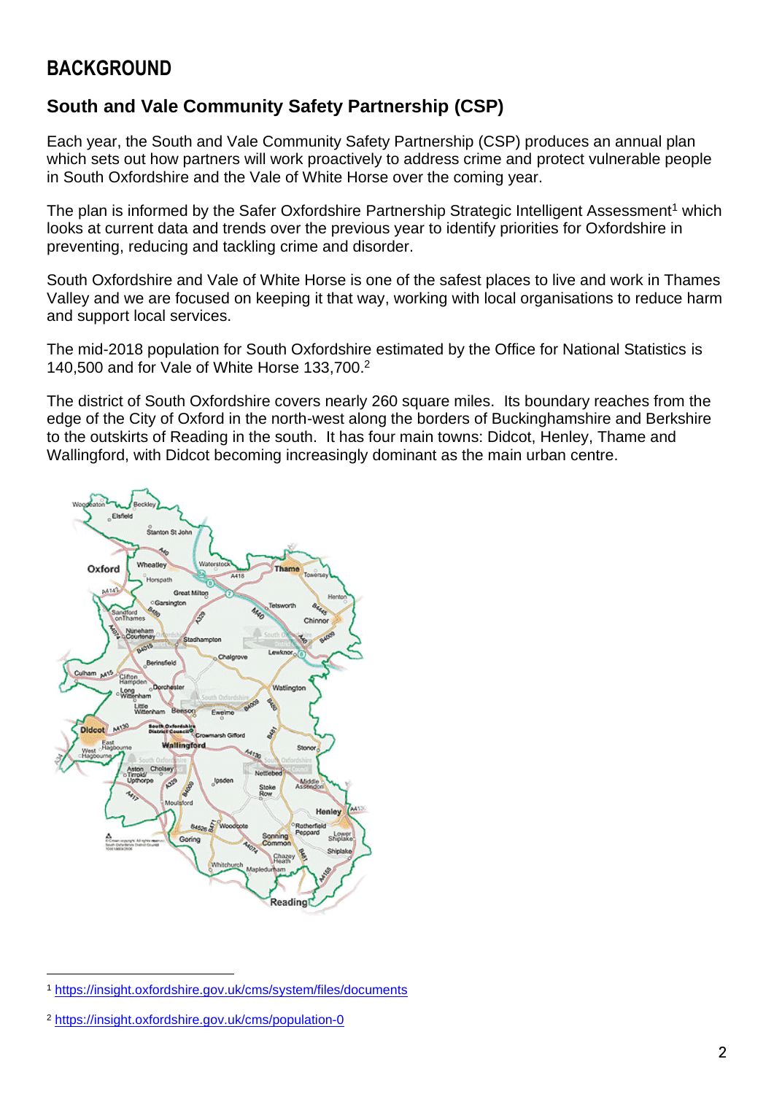### **BACKGROUND**

#### **South and Vale Community Safety Partnership (CSP)**

Each year, the South and Vale Community Safety Partnership (CSP) produces an annual plan which sets out how partners will work proactively to address crime and protect vulnerable people in South Oxfordshire and the Vale of White Horse over the coming year.

The plan is informed by the Safer Oxfordshire Partnership Strategic Intelligent Assessment<sup>1</sup> which looks at current data and trends over the previous year to identify priorities for Oxfordshire in preventing, reducing and tackling crime and disorder.

South Oxfordshire and Vale of White Horse is one of the safest places to live and work in Thames Valley and we are focused on keeping it that way, working with local organisations to reduce harm and support local services.

The mid-2018 population for South Oxfordshire estimated by the Office for National Statistics is 140,500 and for Vale of White Horse 133,700. 2

The district of South Oxfordshire covers nearly 260 square miles. Its boundary reaches from the edge of the City of Oxford in the north-west along the borders of Buckinghamshire and Berkshire to the outskirts of Reading in the south. It has four main towns: Didcot, Henley, Thame and Wallingford, with Didcot becoming increasingly dominant as the main urban centre.



<sup>1</sup> [https://insight.oxfordshire.gov.uk/cms/system/files/documents](https://insight.oxfordshire.gov.uk/cms/system/files/documents/Oxon%20SIA%202019%20May19%20FINAL.pdf)

<sup>2</sup> <https://insight.oxfordshire.gov.uk/cms/population-0>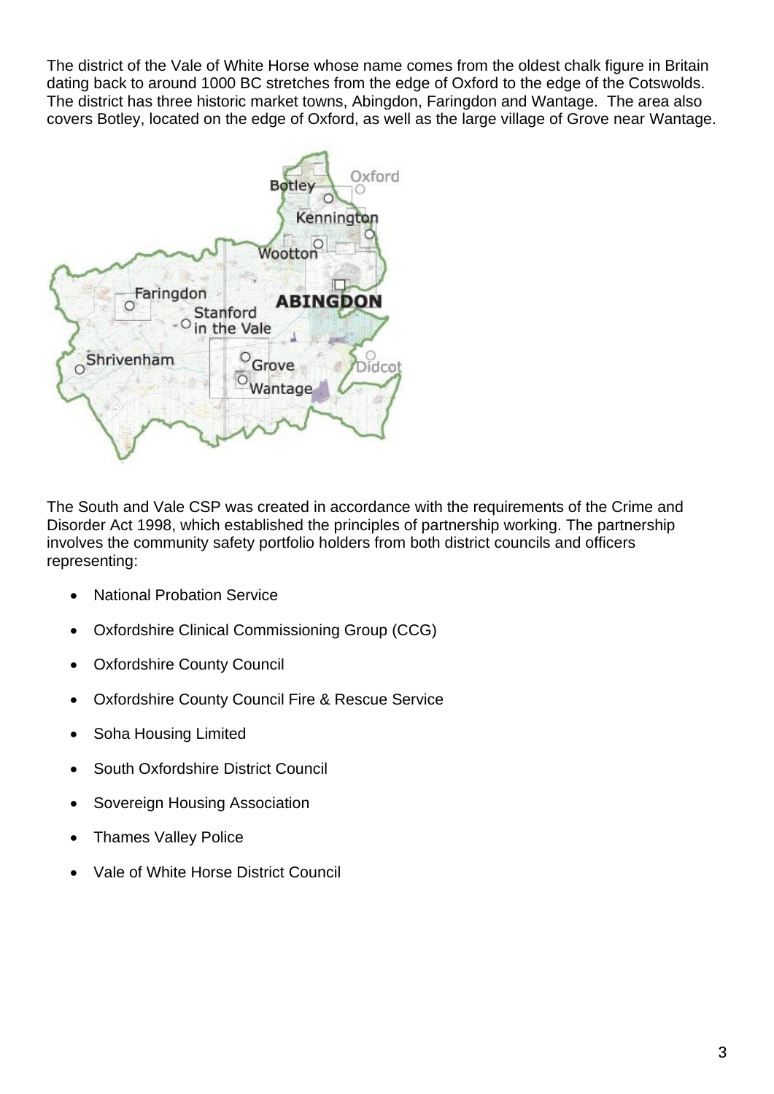The district of the Vale of White Horse whose name comes from the oldest chalk figure in Britain dating back to around 1000 BC stretches from the edge of Oxford to the edge of the Cotswolds. The district has three historic market towns, Abingdon, Faringdon and Wantage. The area also covers Botley, located on the edge of Oxford, as well as the large village of Grove near Wantage.



The South and Vale CSP was created in accordance with the requirements of the Crime and Disorder Act 1998, which established the principles of partnership working. The partnership involves the community safety portfolio holders from both district councils and officers representing:

- National Probation Service
- Oxfordshire Clinical Commissioning Group (CCG)
- Oxfordshire County Council
- Oxfordshire County Council Fire & Rescue Service
- Soha Housing Limited
- South Oxfordshire District Council
- Sovereign Housing Association
- Thames Valley Police
- Vale of White Horse District Council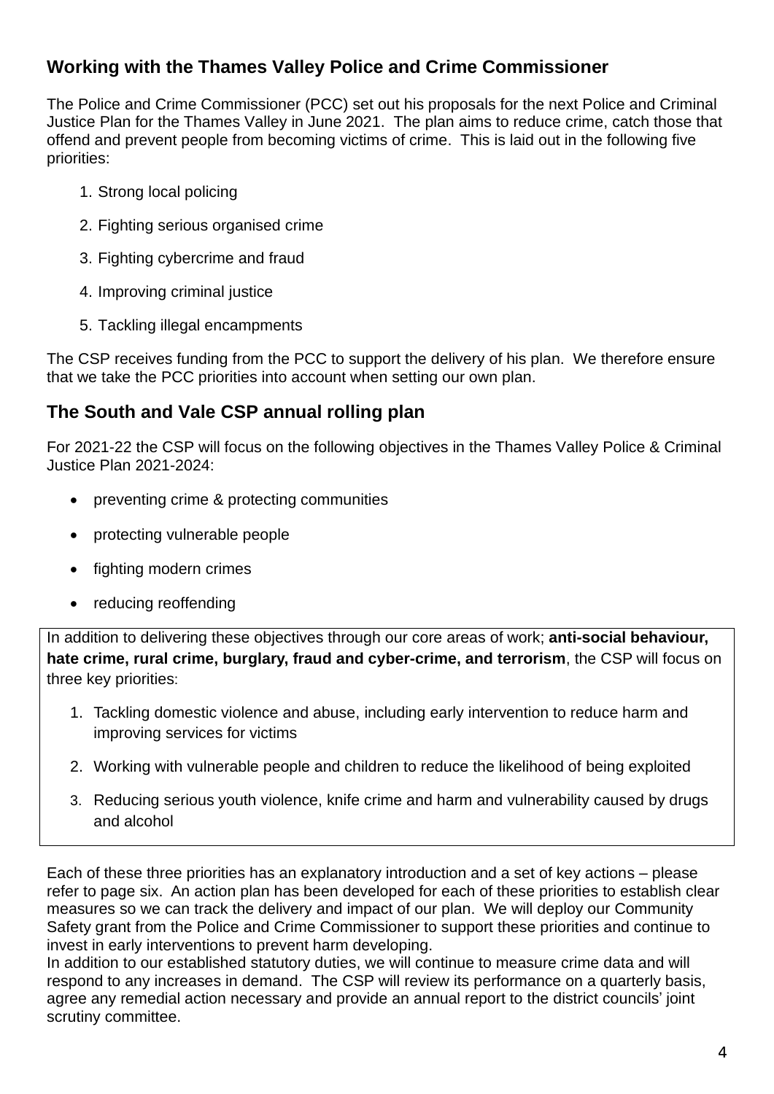#### **Working with the Thames Valley Police and Crime Commissioner**

The Police and Crime Commissioner (PCC) set out his proposals for the next Police and Criminal Justice Plan for the Thames Valley in June 2021. The plan aims to reduce crime, catch those that offend and prevent people from becoming victims of crime. This is laid out in the following five priorities:

- 1. Strong local policing
- 2. Fighting serious organised crime
- 3. Fighting cybercrime and fraud
- 4. Improving criminal justice
- 5. Tackling illegal encampments

The CSP receives funding from the PCC to support the delivery of his plan. We therefore ensure that we take the PCC priorities into account when setting our own plan.

#### **The South and Vale CSP annual rolling plan**

For 2021-22 the CSP will focus on the following objectives in the Thames Valley Police & Criminal Justice Plan 2021-2024:

- preventing crime & protecting communities
- protecting vulnerable people
- fighting modern crimes
- reducing reoffending

In addition to delivering these objectives through our core areas of work; **anti-social behaviour, hate crime, rural crime, burglary, fraud and cyber-crime, and terrorism**, the CSP will focus on three key priorities:

- 1. Tackling domestic violence and abuse, including early intervention to reduce harm and improving services for victims
- 2. Working with vulnerable people and children to reduce the likelihood of being exploited
- 3. Reducing serious youth violence, knife crime and harm and vulnerability caused by drugs and alcohol

Each of these three priorities has an explanatory introduction and a set of key actions – please refer to page six. An action plan has been developed for each of these priorities to establish clear measures so we can track the delivery and impact of our plan. We will deploy our Community Safety grant from the Police and Crime Commissioner to support these priorities and continue to invest in early interventions to prevent harm developing.

In addition to our established statutory duties, we will continue to measure crime data and will respond to any increases in demand. The CSP will review its performance on a quarterly basis, agree any remedial action necessary and provide an annual report to the district councils' joint scrutiny committee.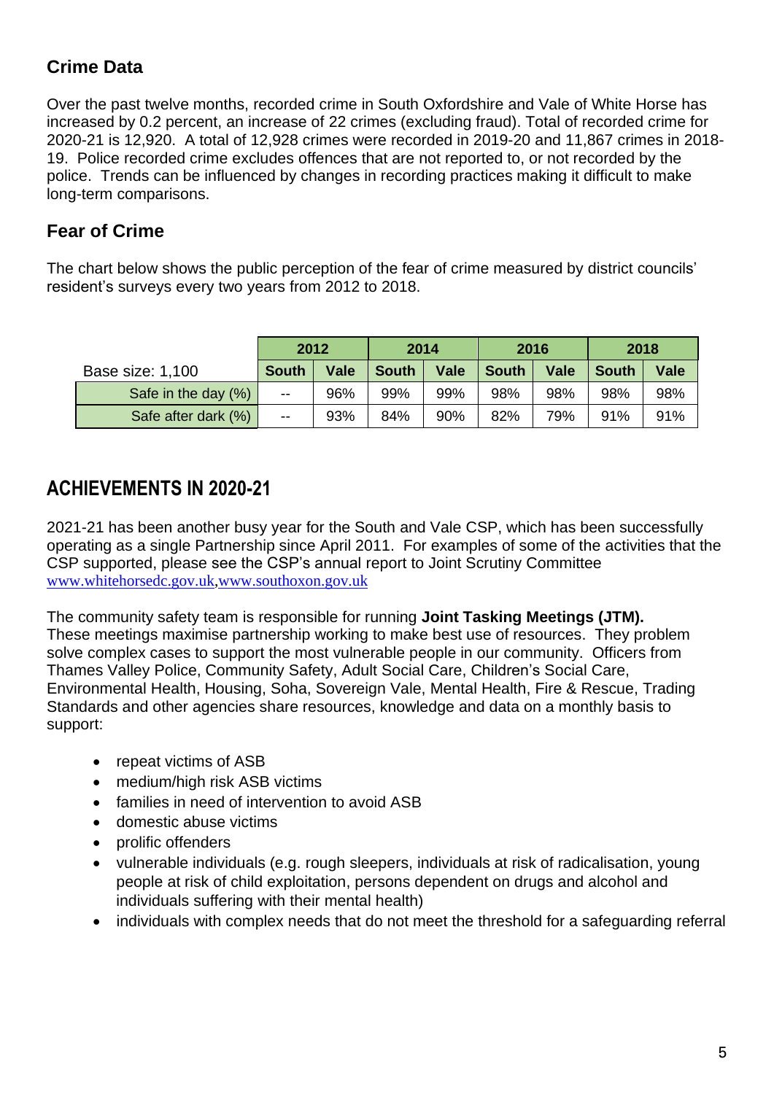## **Crime Data**

Over the past twelve months, recorded crime in South Oxfordshire and Vale of White Horse has increased by 0.2 percent, an increase of 22 crimes (excluding fraud). Total of recorded crime for 2020-21 is 12,920. A total of 12,928 crimes were recorded in 2019-20 and 11,867 crimes in 2018- 19. Police recorded crime excludes offences that are not reported to, or not recorded by the police. Trends can be influenced by changes in recording practices making it difficult to make long-term comparisons.

#### **Fear of Crime**

The chart below shows the public perception of the fear of crime measured by district councils' resident's surveys every two years from 2012 to 2018.

|                     | 2012         |             | 2014         |             | 2016         |             | 2018         |             |
|---------------------|--------------|-------------|--------------|-------------|--------------|-------------|--------------|-------------|
| Base size: 1,100    | <b>South</b> | <b>Vale</b> | <b>South</b> | <b>Vale</b> | <b>South</b> | <b>Vale</b> | <b>South</b> | <b>Vale</b> |
| Safe in the day (%) | $-$          | 96%         | 99%          | 99%         | 98%          | 98%         | 98%          | 98%         |
| Safe after dark (%) | $-$          | 93%         | 84%          | 90%         | 82%          | 79%         | 91%          | 91%         |

## **ACHIEVEMENTS IN 2020-21**

2021-21 has been another busy year for the South and Vale CSP, which has been successfully operating as a single Partnership since April 2011. For examples of some of the activities that the CSP supported, please see the CSP's annual report to Joint Scrutiny Committee [www.whitehorsedc.gov.uk](http://www.whitehorsedc.gov.uk/)[,www.southoxon.gov.uk](http://www.southoxon.gov.uk/)

The community safety team is responsible for running **Joint Tasking Meetings (JTM).** These meetings maximise partnership working to make best use of resources. They problem solve complex cases to support the most vulnerable people in our community. Officers from Thames Valley Police, Community Safety, Adult Social Care, Children's Social Care, Environmental Health, Housing, Soha, Sovereign Vale, Mental Health, Fire & Rescue, Trading Standards and other agencies share resources, knowledge and data on a monthly basis to support:

- repeat victims of ASB
- medium/high risk ASB victims
- families in need of intervention to avoid ASB
- domestic abuse victims
- prolific offenders
- vulnerable individuals (e.g. rough sleepers, individuals at risk of radicalisation, young people at risk of child exploitation, persons dependent on drugs and alcohol and individuals suffering with their mental health)
- individuals with complex needs that do not meet the threshold for a safeguarding referral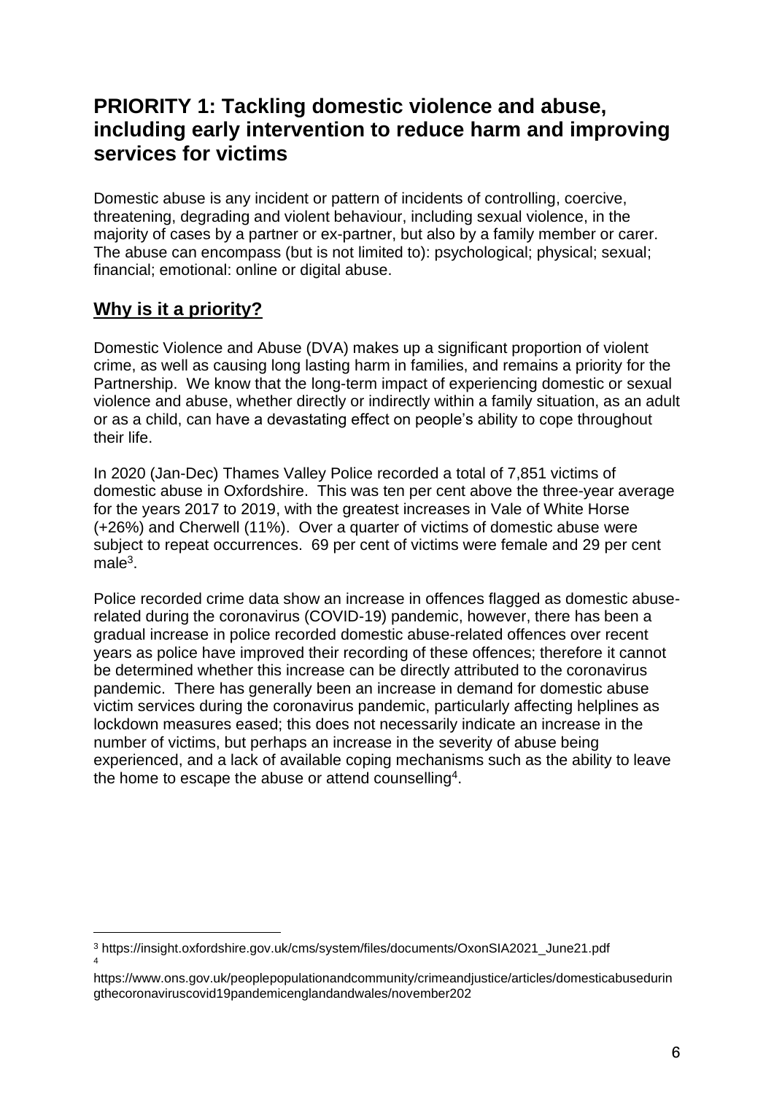## **PRIORITY 1: Tackling domestic violence and abuse, including early intervention to reduce harm and improving services for victims**

Domestic abuse is any incident or pattern of incidents of controlling, coercive, threatening, degrading and violent behaviour, including sexual violence, in the majority of cases by a partner or ex-partner, but also by a family member or carer. The abuse can encompass (but is not limited to): psychological; physical; sexual; financial; emotional: online or digital abuse.

#### **Why is it a priority?**

Domestic Violence and Abuse (DVA) makes up a significant proportion of violent crime, as well as causing long lasting harm in families, and remains a priority for the Partnership. We know that the long-term impact of experiencing domestic or sexual violence and abuse, whether directly or indirectly within a family situation, as an adult or as a child, can have a devastating effect on people's ability to cope throughout their life.

In 2020 (Jan-Dec) Thames Valley Police recorded a total of 7,851 victims of domestic abuse in Oxfordshire. This was ten per cent above the three-year average for the years 2017 to 2019, with the greatest increases in Vale of White Horse (+26%) and Cherwell (11%). Over a quarter of victims of domestic abuse were subject to repeat occurrences. 69 per cent of victims were female and 29 per cent male<sup>3</sup>.

Police recorded crime data show an increase in offences flagged as domestic abuserelated during the coronavirus (COVID-19) pandemic, however, there has been a gradual increase in police recorded domestic abuse-related offences over recent years as police have improved their recording of these offences; therefore it cannot be determined whether this increase can be directly attributed to the coronavirus pandemic. There has generally been an increase in demand for domestic abuse victim services during the coronavirus pandemic, particularly affecting helplines as lockdown measures eased; this does not necessarily indicate an increase in the number of victims, but perhaps an increase in the severity of abuse being experienced, and a lack of available coping mechanisms such as the ability to leave the home to escape the abuse or attend counselling<sup>4</sup>.

<sup>3</sup> https://insight.oxfordshire.gov.uk/cms/system/files/documents/OxonSIA2021\_June21.pdf 4

https://www.ons.gov.uk/peoplepopulationandcommunity/crimeandjustice/articles/domesticabusedurin gthecoronaviruscovid19pandemicenglandandwales/november202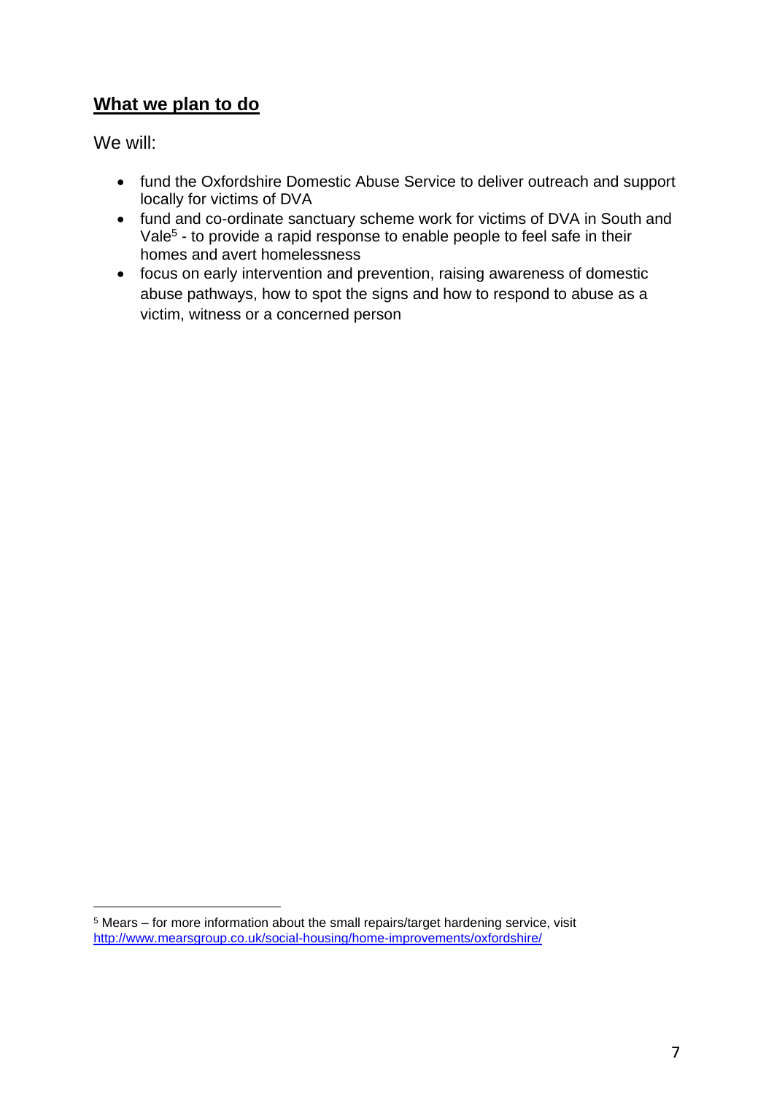#### **What we plan to do**

We will:

- fund the Oxfordshire Domestic Abuse Service to deliver outreach and support locally for victims of DVA
- fund and co-ordinate sanctuary scheme work for victims of DVA in South and Vale<sup>5</sup> - to provide a rapid response to enable people to feel safe in their homes and avert homelessness
- focus on early intervention and prevention, raising awareness of domestic abuse pathways, how to spot the signs and how to respond to abuse as a victim, witness or a concerned person

<sup>5</sup> Mears – for more information about the small repairs/target hardening service, visit <http://www.mearsgroup.co.uk/social-housing/home-improvements/oxfordshire/>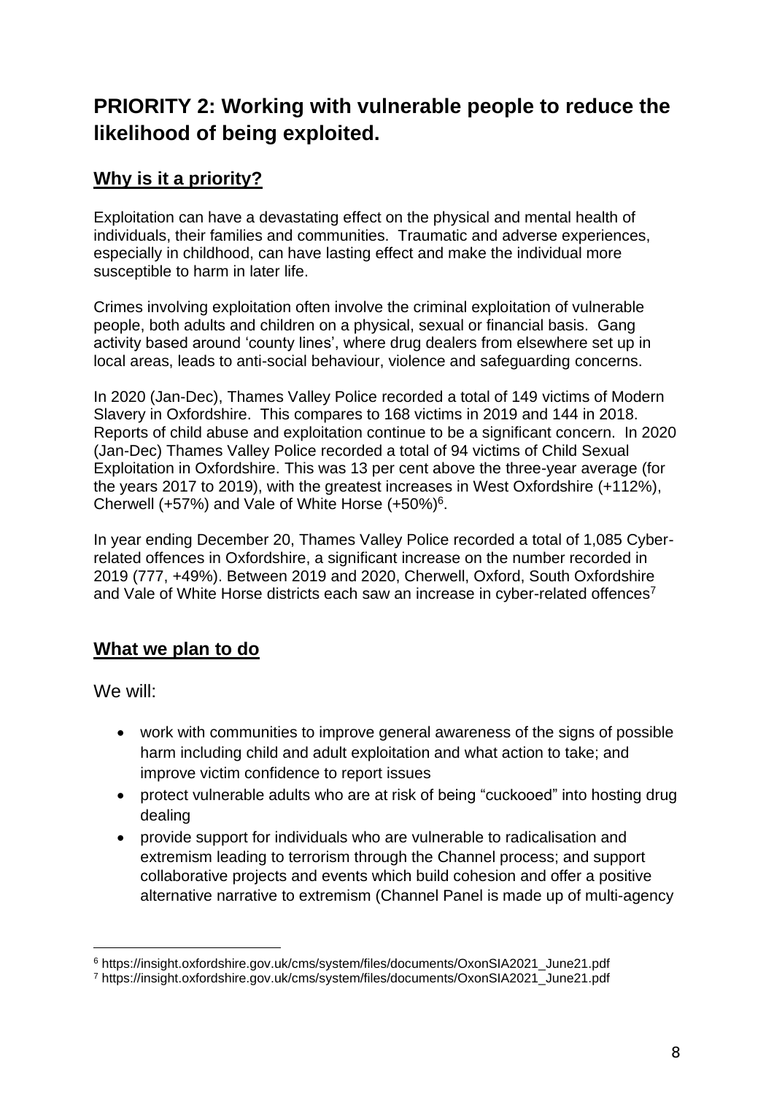## **PRIORITY 2: Working with vulnerable people to reduce the likelihood of being exploited.**

#### **Why is it a priority?**

Exploitation can have a devastating effect on the physical and mental health of individuals, their families and communities. Traumatic and adverse experiences, especially in childhood, can have lasting effect and make the individual more susceptible to harm in later life.

Crimes involving exploitation often involve the criminal exploitation of vulnerable people, both adults and children on a physical, sexual or financial basis. Gang activity based around 'county lines', where drug dealers from elsewhere set up in local areas, leads to anti-social behaviour, violence and safeguarding concerns.

In 2020 (Jan-Dec), Thames Valley Police recorded a total of 149 victims of Modern Slavery in Oxfordshire. This compares to 168 victims in 2019 and 144 in 2018. Reports of child abuse and exploitation continue to be a significant concern. In 2020 (Jan-Dec) Thames Valley Police recorded a total of 94 victims of Child Sexual Exploitation in Oxfordshire. This was 13 per cent above the three-year average (for the years 2017 to 2019), with the greatest increases in West Oxfordshire (+112%), Cherwell (+57%) and Vale of White Horse (+50%)<sup>6</sup>.

In year ending December 20, Thames Valley Police recorded a total of 1,085 Cyberrelated offences in Oxfordshire, a significant increase on the number recorded in 2019 (777, +49%). Between 2019 and 2020, Cherwell, Oxford, South Oxfordshire and Vale of White Horse districts each saw an increase in cyber-related offences<sup>7</sup>

#### **What we plan to do**

We will:

- work with communities to improve general awareness of the signs of possible harm including child and adult exploitation and what action to take; and improve victim confidence to report issues
- protect vulnerable adults who are at risk of being "cuckooed" into hosting drug dealing
- provide support for individuals who are vulnerable to radicalisation and extremism leading to terrorism through the Channel process; and support collaborative projects and events which build cohesion and offer a positive alternative narrative to extremism (Channel Panel is made up of multi-agency

<sup>6</sup> https://insight.oxfordshire.gov.uk/cms/system/files/documents/OxonSIA2021\_June21.pdf

<sup>7</sup> https://insight.oxfordshire.gov.uk/cms/system/files/documents/OxonSIA2021\_June21.pdf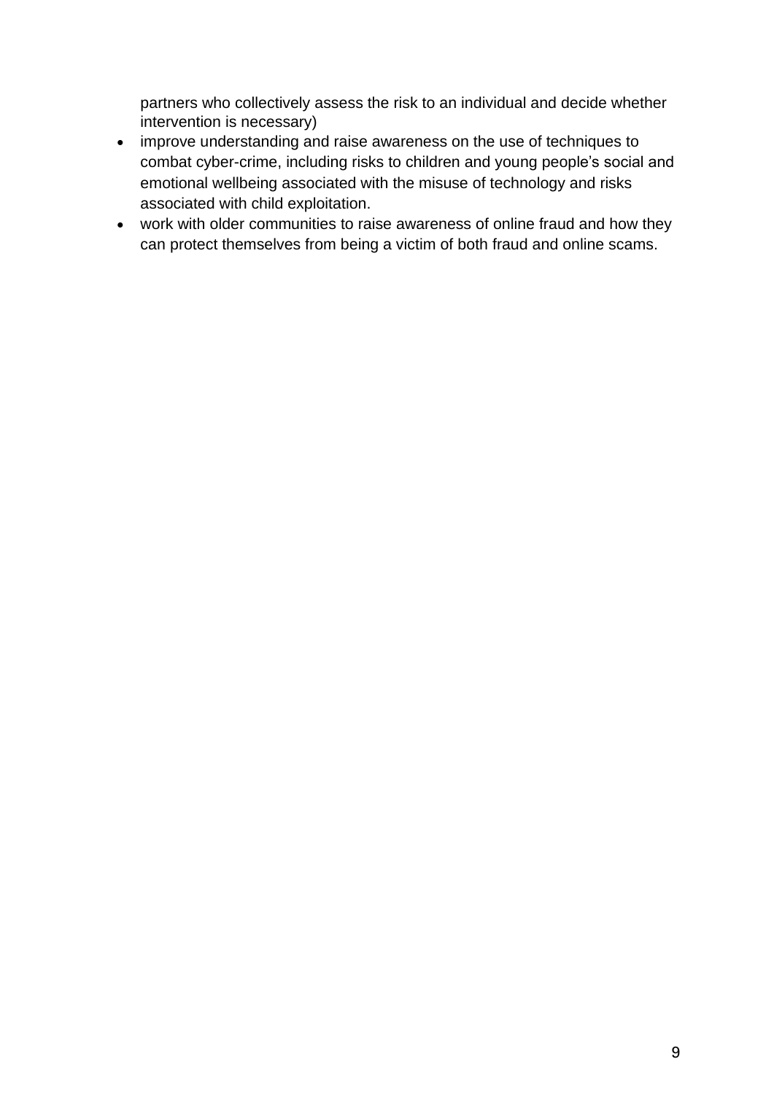partners who collectively assess the risk to an individual and decide whether intervention is necessary)

- improve understanding and raise awareness on the use of techniques to combat cyber-crime, including risks to children and young people's social and emotional wellbeing associated with the misuse of technology and risks associated with child exploitation.
- work with older communities to raise awareness of online fraud and how they can protect themselves from being a victim of both fraud and online scams.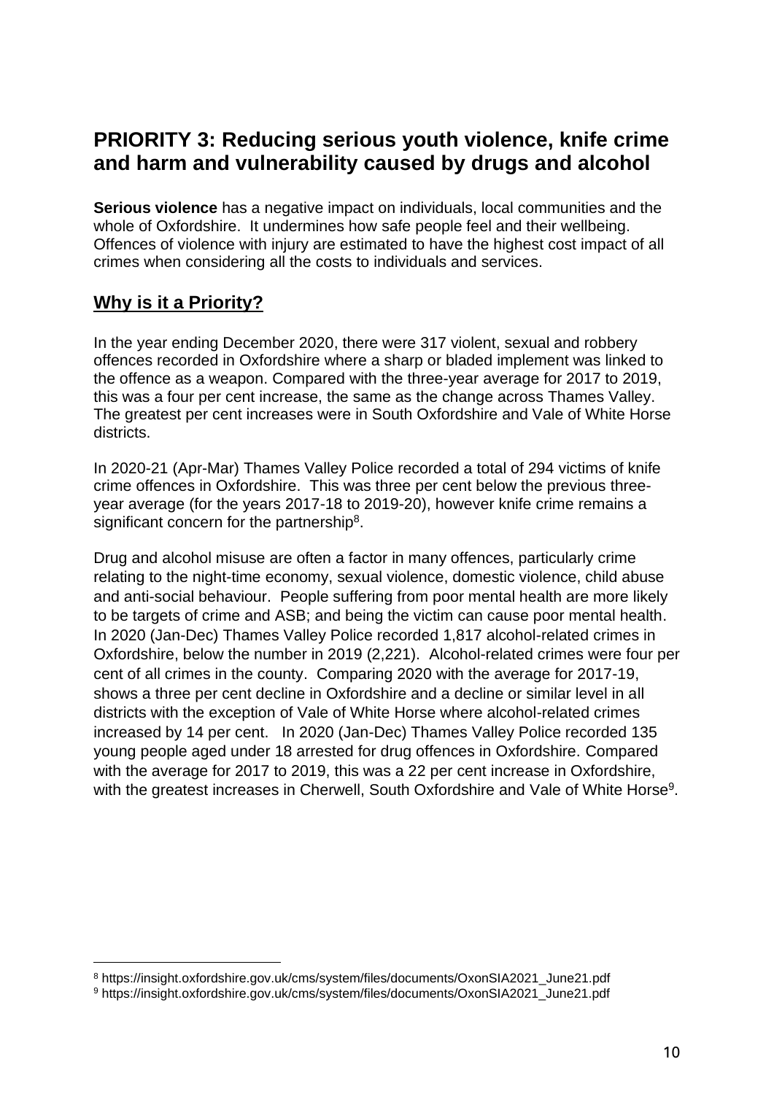## **PRIORITY 3: Reducing serious youth violence, knife crime and harm and vulnerability caused by drugs and alcohol**

**Serious violence** has a negative impact on individuals, local communities and the whole of Oxfordshire. It undermines how safe people feel and their wellbeing. Offences of violence with injury are estimated to have the highest cost impact of all crimes when considering all the costs to individuals and services.

#### **Why is it a Priority?**

In the year ending December 2020, there were 317 violent, sexual and robbery offences recorded in Oxfordshire where a sharp or bladed implement was linked to the offence as a weapon. Compared with the three-year average for 2017 to 2019, this was a four per cent increase, the same as the change across Thames Valley. The greatest per cent increases were in South Oxfordshire and Vale of White Horse districts.

In 2020-21 (Apr-Mar) Thames Valley Police recorded a total of 294 victims of knife crime offences in Oxfordshire. This was three per cent below the previous threeyear average (for the years 2017-18 to 2019-20), however knife crime remains a significant concern for the partnership<sup>8</sup>.

Drug and alcohol misuse are often a factor in many offences, particularly crime relating to the night-time economy, sexual violence, domestic violence, child abuse and anti-social behaviour. People suffering from poor mental health are more likely to be targets of crime and ASB; and being the victim can cause poor mental health. In 2020 (Jan-Dec) Thames Valley Police recorded 1,817 alcohol-related crimes in Oxfordshire, below the number in 2019 (2,221). Alcohol-related crimes were four per cent of all crimes in the county. Comparing 2020 with the average for 2017-19, shows a three per cent decline in Oxfordshire and a decline or similar level in all districts with the exception of Vale of White Horse where alcohol-related crimes increased by 14 per cent. In 2020 (Jan-Dec) Thames Valley Police recorded 135 young people aged under 18 arrested for drug offences in Oxfordshire. Compared with the average for 2017 to 2019, this was a 22 per cent increase in Oxfordshire, with the greatest increases in Cherwell, South Oxfordshire and Vale of White Horse<sup>9</sup>.

<sup>8</sup> https://insight.oxfordshire.gov.uk/cms/system/files/documents/OxonSIA2021\_June21.pdf

<sup>9</sup> https://insight.oxfordshire.gov.uk/cms/system/files/documents/OxonSIA2021\_June21.pdf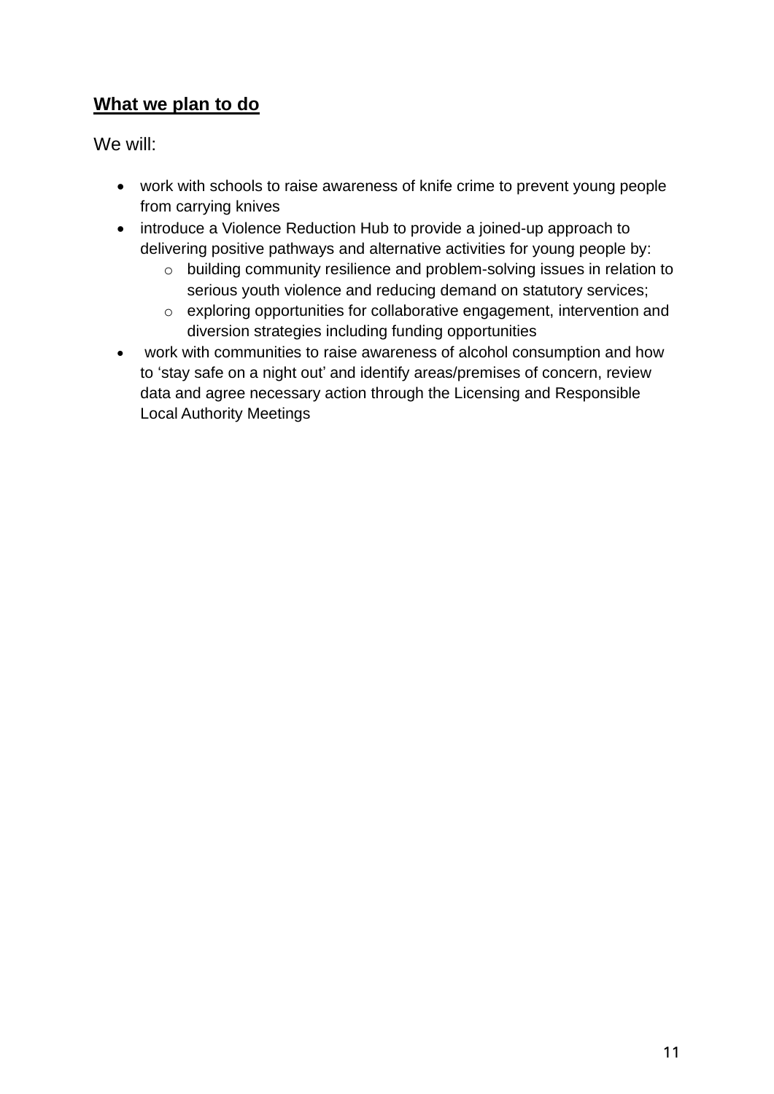#### **What we plan to do**

We will:

- work with schools to raise awareness of knife crime to prevent young people from carrying knives
- introduce a Violence Reduction Hub to provide a joined-up approach to delivering positive pathways and alternative activities for young people by:
	- o building community resilience and problem-solving issues in relation to serious youth violence and reducing demand on statutory services;
	- o exploring opportunities for collaborative engagement, intervention and diversion strategies including funding opportunities
- work with communities to raise awareness of alcohol consumption and how to 'stay safe on a night out' and identify areas/premises of concern, review data and agree necessary action through the Licensing and Responsible Local Authority Meetings